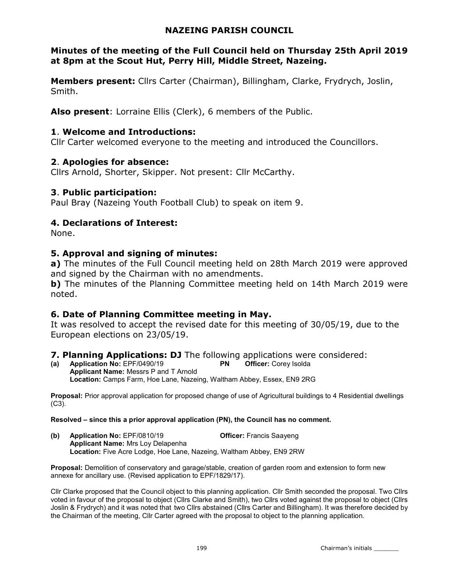#### NAZEING PARISH COUNCIL

### Minutes of the meeting of the Full Council held on Thursday 25th April 2019 at 8pm at the Scout Hut, Perry Hill, Middle Street, Nazeing.

Members present: Cllrs Carter (Chairman), Billingham, Clarke, Frydrych, Joslin, Smith.

Also present: Lorraine Ellis (Clerk), 6 members of the Public.

### 1. Welcome and Introductions:

Cllr Carter welcomed everyone to the meeting and introduced the Councillors.

# 2. Apologies for absence:

Cllrs Arnold, Shorter, Skipper. Not present: Cllr McCarthy.

# 3. Public participation:

Paul Bray (Nazeing Youth Football Club) to speak on item 9.

# 4. Declarations of Interest:

None.

# 5. Approval and signing of minutes:

a) The minutes of the Full Council meeting held on 28th March 2019 were approved and signed by the Chairman with no amendments.

b) The minutes of the Planning Committee meeting held on 14th March 2019 were noted.

# 6. Date of Planning Committee meeting in May.

It was resolved to accept the revised date for this meeting of 30/05/19, due to the European elections on 23/05/19.

#### 7. Planning Applications: DJ The following applications were considered:

(a) Application No: EPF/0490/19 PN Officer: Corey Isolda Applicant Name: Messrs P and T Arnold Location: Camps Farm, Hoe Lane, Nazeing, Waltham Abbey, Essex, EN9 2RG

Proposal: Prior approval application for proposed change of use of Agricultural buildings to 4 Residential dwellings  $(C3)$ .

#### Resolved – since this a prior approval application (PN), the Council has no comment.

(b) Application No: EPF/0810/19 Officer: Francis Saayeng Applicant Name: Mrs Loy Delapenha Location: Five Acre Lodge, Hoe Lane, Nazeing, Waltham Abbey, EN9 2RW

Proposal: Demolition of conservatory and garage/stable, creation of garden room and extension to form new annexe for ancillary use. (Revised application to EPF/1829/17).

Cllr Clarke proposed that the Council object to this planning application. Cllr Smith seconded the proposal. Two Cllrs voted in favour of the proposal to object (Cllrs Clarke and Smith), two Cllrs voted against the proposal to object (Cllrs Joslin & Frydrych) and it was noted that two Cllrs abstained (Cllrs Carter and Billingham). It was therefore decided by the Chairman of the meeting, Cllr Carter agreed with the proposal to object to the planning application.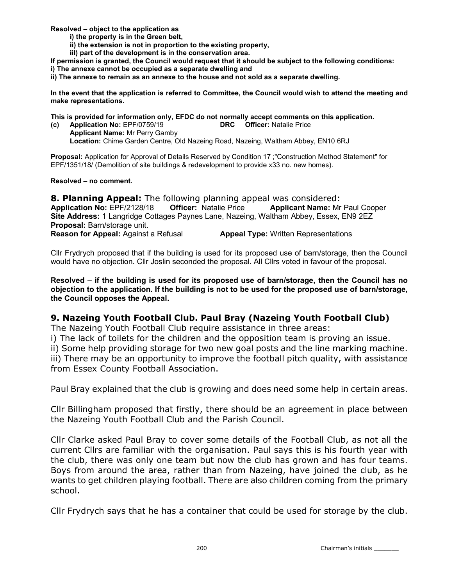Resolved – object to the application as

- i) the property is in the Green belt,
- ii) the extension is not in proportion to the existing property,
- iiI) part of the development is in the conservation area.

If permission is granted, the Council would request that it should be subject to the following conditions:

i) The annexe cannot be occupied as a separate dwelling and

ii) The annexe to remain as an annexe to the house and not sold as a separate dwelling.

In the event that the application is referred to Committee, the Council would wish to attend the meeting and make representations.

This is provided for information only, EFDC do not normally accept comments on this application.

(c) Application No: EPF/0759/19 DRC Officer: Natalie Price Applicant Name: Mr Perry Gamby Location: Chime Garden Centre, Old Nazeing Road, Nazeing, Waltham Abbey, EN10 6RJ

Proposal: Application for Approval of Details Reserved by Condition 17 ;"Construction Method Statement" for EPF/1351/18/ (Demolition of site buildings & redevelopment to provide x33 no. new homes).

Resolved – no comment.

**8. Planning Appeal:** The following planning appeal was considered: Application No: EPF/2128/18 Officer: Natalie Price Applicant Name: Mr Paul Cooper Site Address: 1 Langridge Cottages Paynes Lane, Nazeing, Waltham Abbey, Essex, EN9 2EZ Proposal: Barn/storage unit. **Reason for Appeal:** Against a Refusal **Appeal Type:** Written Representations

Cllr Frydrych proposed that if the building is used for its proposed use of barn/storage, then the Council would have no objection. Cllr Joslin seconded the proposal. All Cllrs voted in favour of the proposal.

Resolved – if the building is used for its proposed use of barn/storage, then the Council has no objection to the application. If the building is not to be used for the proposed use of barn/storage, the Council opposes the Appeal.

### 9. Nazeing Youth Football Club. Paul Bray (Nazeing Youth Football Club)

The Nazeing Youth Football Club require assistance in three areas:

i) The lack of toilets for the children and the opposition team is proving an issue.

ii) Some help providing storage for two new goal posts and the line marking machine. iii) There may be an opportunity to improve the football pitch quality, with assistance from Essex County Football Association.

Paul Bray explained that the club is growing and does need some help in certain areas.

Cllr Billingham proposed that firstly, there should be an agreement in place between the Nazeing Youth Football Club and the Parish Council.

Cllr Clarke asked Paul Bray to cover some details of the Football Club, as not all the current Cllrs are familiar with the organisation. Paul says this is his fourth year with the club, there was only one team but now the club has grown and has four teams. Boys from around the area, rather than from Nazeing, have joined the club, as he wants to get children playing football. There are also children coming from the primary school.

Cllr Frydrych says that he has a container that could be used for storage by the club.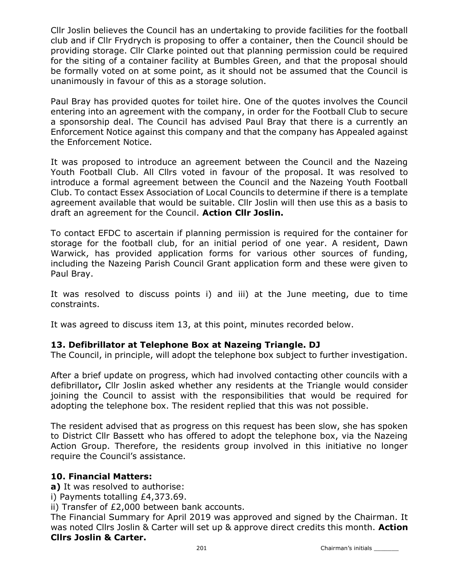Cllr Joslin believes the Council has an undertaking to provide facilities for the football club and if Cllr Frydrych is proposing to offer a container, then the Council should be providing storage. Cllr Clarke pointed out that planning permission could be required for the siting of a container facility at Bumbles Green, and that the proposal should be formally voted on at some point, as it should not be assumed that the Council is unanimously in favour of this as a storage solution.

Paul Bray has provided quotes for toilet hire. One of the quotes involves the Council entering into an agreement with the company, in order for the Football Club to secure a sponsorship deal. The Council has advised Paul Bray that there is a currently an Enforcement Notice against this company and that the company has Appealed against the Enforcement Notice.

It was proposed to introduce an agreement between the Council and the Nazeing Youth Football Club. All Cllrs voted in favour of the proposal. It was resolved to introduce a formal agreement between the Council and the Nazeing Youth Football Club. To contact Essex Association of Local Councils to determine if there is a template agreement available that would be suitable. Cllr Joslin will then use this as a basis to draft an agreement for the Council. Action Cllr Joslin.

To contact EFDC to ascertain if planning permission is required for the container for storage for the football club, for an initial period of one year. A resident, Dawn Warwick, has provided application forms for various other sources of funding, including the Nazeing Parish Council Grant application form and these were given to Paul Bray.

It was resolved to discuss points i) and iii) at the June meeting, due to time constraints.

It was agreed to discuss item 13, at this point, minutes recorded below.

#### 13. Defibrillator at Telephone Box at Nazeing Triangle. DJ

The Council, in principle, will adopt the telephone box subject to further investigation.

After a brief update on progress, which had involved contacting other councils with a defibrillator, Cllr Joslin asked whether any residents at the Triangle would consider joining the Council to assist with the responsibilities that would be required for adopting the telephone box. The resident replied that this was not possible.

The resident advised that as progress on this request has been slow, she has spoken to District Cllr Bassett who has offered to adopt the telephone box, via the Nazeing Action Group. Therefore, the residents group involved in this initiative no longer require the Council's assistance.

#### 10. Financial Matters:

a) It was resolved to authorise:

i) Payments totalling £4,373.69.

ii) Transfer of £2,000 between bank accounts.

The Financial Summary for April 2019 was approved and signed by the Chairman. It was noted Cllrs Joslin & Carter will set up & approve direct credits this month. Action Cllrs Joslin & Carter.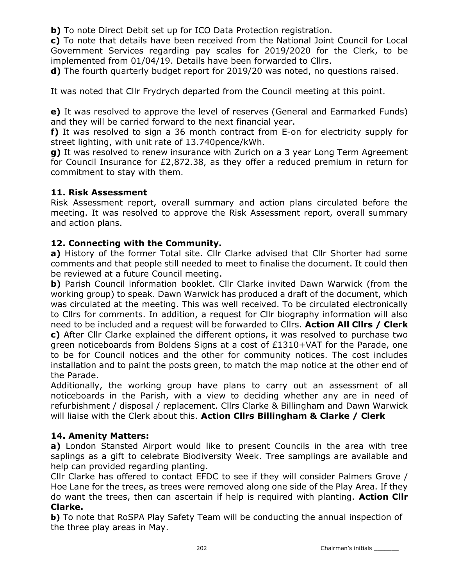**b)** To note Direct Debit set up for ICO Data Protection registration.

c) To note that details have been received from the National Joint Council for Local Government Services regarding pay scales for 2019/2020 for the Clerk, to be implemented from 01/04/19. Details have been forwarded to Cllrs.

d) The fourth quarterly budget report for 2019/20 was noted, no questions raised.

It was noted that Cllr Frydrych departed from the Council meeting at this point.

e) It was resolved to approve the level of reserves (General and Earmarked Funds) and they will be carried forward to the next financial year.

f) It was resolved to sign a 36 month contract from E-on for electricity supply for street lighting, with unit rate of 13.740pence/kWh.

g) It was resolved to renew insurance with Zurich on a 3 year Long Term Agreement for Council Insurance for £2,872.38, as they offer a reduced premium in return for commitment to stay with them.

# 11. Risk Assessment

Risk Assessment report, overall summary and action plans circulated before the meeting. It was resolved to approve the Risk Assessment report, overall summary and action plans.

# 12. Connecting with the Community.

a) History of the former Total site. Cllr Clarke advised that Cllr Shorter had some comments and that people still needed to meet to finalise the document. It could then be reviewed at a future Council meeting.

**b)** Parish Council information booklet. Cllr Clarke invited Dawn Warwick (from the working group) to speak. Dawn Warwick has produced a draft of the document, which was circulated at the meeting. This was well received. To be circulated electronically to Cllrs for comments. In addition, a request for Cllr biography information will also need to be included and a request will be forwarded to Cllrs. Action All Cllrs / Clerk c) After Cllr Clarke explained the different options, it was resolved to purchase two green noticeboards from Boldens Signs at a cost of £1310+VAT for the Parade, one to be for Council notices and the other for community notices. The cost includes installation and to paint the posts green, to match the map notice at the other end of the Parade.

Additionally, the working group have plans to carry out an assessment of all noticeboards in the Parish, with a view to deciding whether any are in need of refurbishment / disposal / replacement. Cllrs Clarke & Billingham and Dawn Warwick will liaise with the Clerk about this. Action Cllrs Billingham & Clarke / Clerk

# 14. Amenity Matters:

a) London Stansted Airport would like to present Councils in the area with tree saplings as a gift to celebrate Biodiversity Week. Tree samplings are available and help can provided regarding planting.

Cllr Clarke has offered to contact EFDC to see if they will consider Palmers Grove / Hoe Lane for the trees, as trees were removed along one side of the Play Area. If they do want the trees, then can ascertain if help is required with planting. Action Cllr Clarke.

b) To note that RoSPA Play Safety Team will be conducting the annual inspection of the three play areas in May.